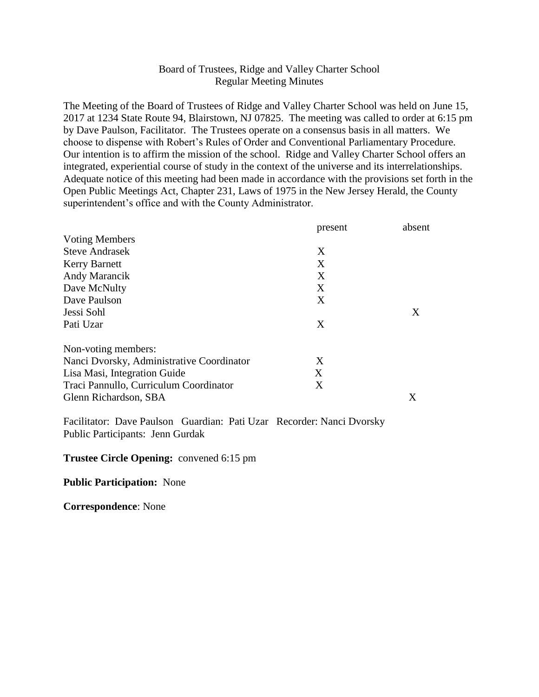## Board of Trustees, Ridge and Valley Charter School Regular Meeting Minutes

The Meeting of the Board of Trustees of Ridge and Valley Charter School was held on June 15, 2017 at 1234 State Route 94, Blairstown, NJ 07825. The meeting was called to order at 6:15 pm by Dave Paulson, Facilitator. The Trustees operate on a consensus basis in all matters. We choose to dispense with Robert's Rules of Order and Conventional Parliamentary Procedure. Our intention is to affirm the mission of the school. Ridge and Valley Charter School offers an integrated, experiential course of study in the context of the universe and its interrelationships. Adequate notice of this meeting had been made in accordance with the provisions set forth in the Open Public Meetings Act, Chapter 231, Laws of 1975 in the New Jersey Herald, the County superintendent's office and with the County Administrator.

|                                           | present | absent |
|-------------------------------------------|---------|--------|
| <b>Voting Members</b>                     |         |        |
| <b>Steve Andrasek</b>                     | X       |        |
| <b>Kerry Barnett</b>                      | X       |        |
| Andy Marancik                             | X       |        |
| Dave McNulty                              | X       |        |
| Dave Paulson                              | X       |        |
| Jessi Sohl                                |         | X      |
| Pati Uzar                                 | X       |        |
| Non-voting members:                       |         |        |
| Nanci Dvorsky, Administrative Coordinator | X       |        |
| Lisa Masi, Integration Guide              | X       |        |
| Traci Pannullo, Curriculum Coordinator    | X       |        |
| Glenn Richardson, SBA                     |         | X      |

Facilitator: Dave Paulson Guardian: Pati Uzar Recorder: Nanci Dvorsky Public Participants: Jenn Gurdak

## **Trustee Circle Opening:** convened 6:15 pm

**Public Participation:** None

**Correspondence**: None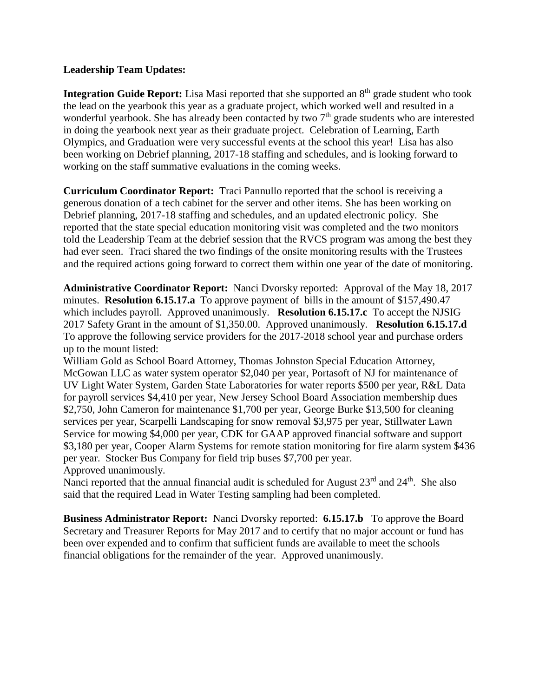## **Leadership Team Updates:**

**Integration Guide Report:** Lisa Masi reported that she supported an 8<sup>th</sup> grade student who took the lead on the yearbook this year as a graduate project, which worked well and resulted in a wonderful yearbook. She has already been contacted by two  $7<sup>th</sup>$  grade students who are interested in doing the yearbook next year as their graduate project. Celebration of Learning, Earth Olympics, and Graduation were very successful events at the school this year! Lisa has also been working on Debrief planning, 2017-18 staffing and schedules, and is looking forward to working on the staff summative evaluations in the coming weeks.

**Curriculum Coordinator Report:** Traci Pannullo reported that the school is receiving a generous donation of a tech cabinet for the server and other items. She has been working on Debrief planning, 2017-18 staffing and schedules, and an updated electronic policy. She reported that the state special education monitoring visit was completed and the two monitors told the Leadership Team at the debrief session that the RVCS program was among the best they had ever seen. Traci shared the two findings of the onsite monitoring results with the Trustees and the required actions going forward to correct them within one year of the date of monitoring.

**Administrative Coordinator Report:** Nanci Dvorsky reported: Approval of the May 18, 2017 minutes. **Resolution 6.15.17.a** To approve payment of bills in the amount of \$157,490.47 which includes payroll. Approved unanimously. **Resolution 6.15.17.c** To accept the NJSIG 2017 Safety Grant in the amount of \$1,350.00. Approved unanimously. **Resolution 6.15.17.d**  To approve the following service providers for the 2017-2018 school year and purchase orders up to the mount listed:

William Gold as School Board Attorney, Thomas Johnston Special Education Attorney, McGowan LLC as water system operator \$2,040 per year, Portasoft of NJ for maintenance of UV Light Water System, Garden State Laboratories for water reports \$500 per year, R&L Data for payroll services \$4,410 per year, New Jersey School Board Association membership dues \$2,750, John Cameron for maintenance \$1,700 per year, George Burke \$13,500 for cleaning services per year, Scarpelli Landscaping for snow removal \$3,975 per year, Stillwater Lawn Service for mowing \$4,000 per year, CDK for GAAP approved financial software and support \$3,180 per year, Cooper Alarm Systems for remote station monitoring for fire alarm system \$436 per year. Stocker Bus Company for field trip buses \$7,700 per year. Approved unanimously.

Nanci reported that the annual financial audit is scheduled for August 23<sup>rd</sup> and 24<sup>th</sup>. She also said that the required Lead in Water Testing sampling had been completed.

**Business Administrator Report:** Nanci Dvorsky reported: **6.15.17.b** To approve the Board Secretary and Treasurer Reports for May 2017 and to certify that no major account or fund has been over expended and to confirm that sufficient funds are available to meet the schools financial obligations for the remainder of the year. Approved unanimously.